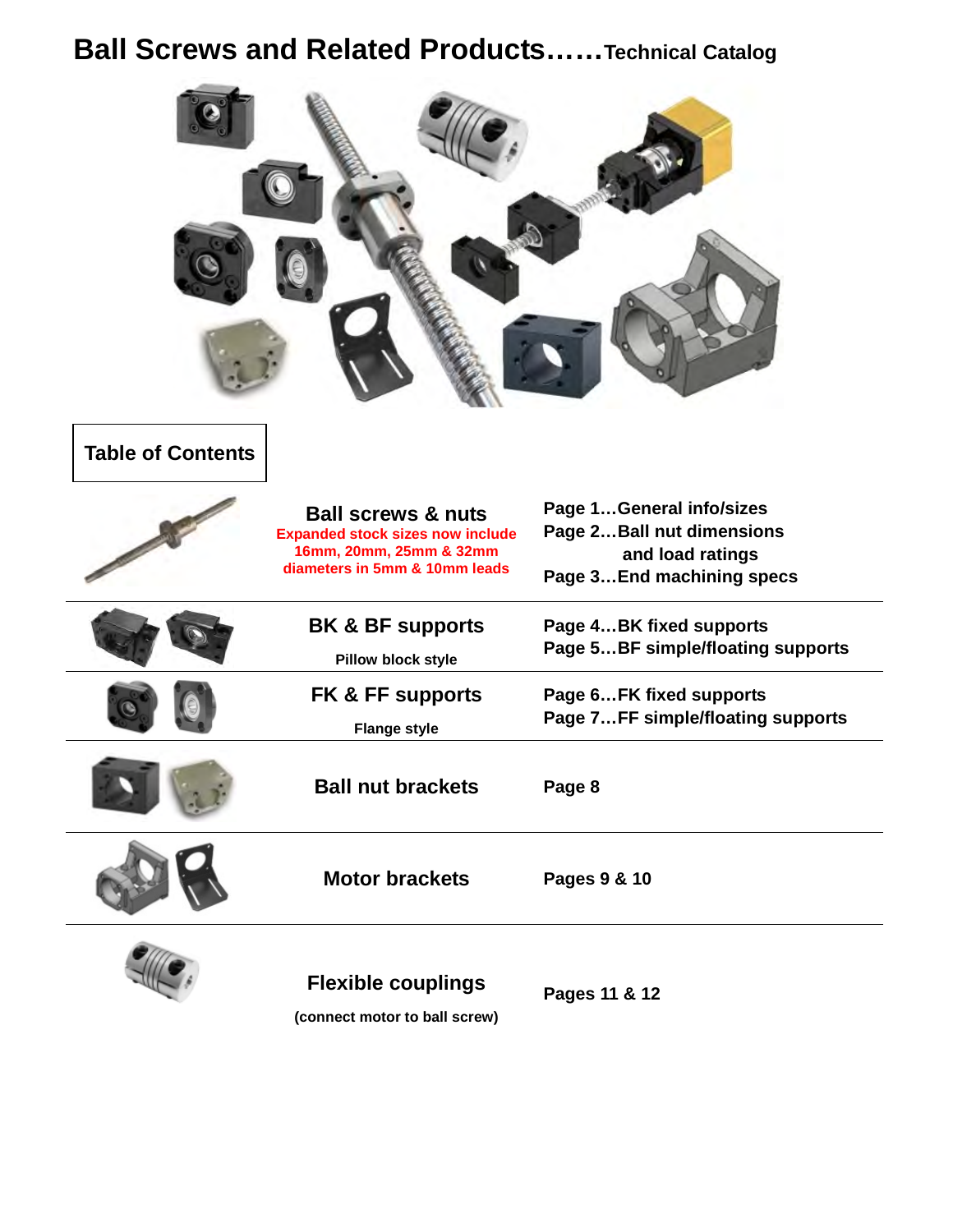## **Ball Screws and Related Products……Technical Catalog**

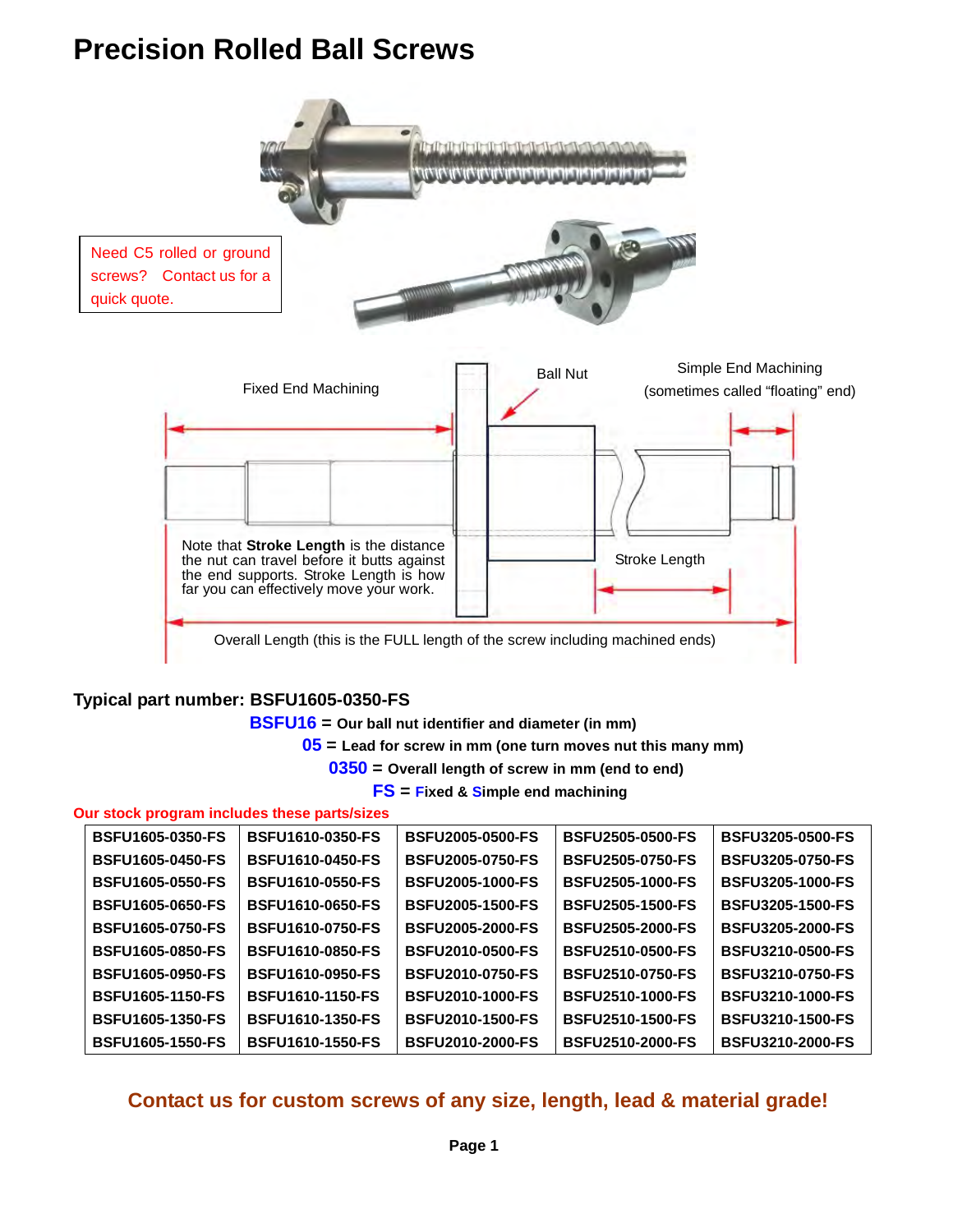## **Precision Rolled Ball Screws**



### **Typical part number: BSFU1605-0350-FS**

 **BSFU16 = Our ball nut identifier and diameter (in mm)**

 **05 = Lead for screw in mm (one turn moves nut this many mm)** 

 **0350 = Overall length of screw in mm (end to end)** 

 **FS = Fixed & Simple end machining** 

### **Our stock program includes these parts/sizes**

| <b>BSFU1605-0350-FS</b> | <b>BSFU1610-0350-FS</b> | <b>BSFU2005-0500-FS</b> | <b>BSFU2505-0500-FS</b> | <b>BSFU3205-0500-FS</b> |
|-------------------------|-------------------------|-------------------------|-------------------------|-------------------------|
| <b>BSFU1605-0450-FS</b> | <b>BSFU1610-0450-FS</b> | <b>BSFU2005-0750-FS</b> | <b>BSFU2505-0750-FS</b> | <b>BSFU3205-0750-FS</b> |
| <b>BSFU1605-0550-FS</b> | <b>BSFU1610-0550-FS</b> | <b>BSFU2005-1000-FS</b> | <b>BSFU2505-1000-FS</b> | <b>BSFU3205-1000-FS</b> |
| <b>BSFU1605-0650-FS</b> | <b>BSFU1610-0650-FS</b> | <b>BSFU2005-1500-FS</b> | <b>BSFU2505-1500-FS</b> | <b>BSFU3205-1500-FS</b> |
| <b>BSFU1605-0750-FS</b> | <b>BSFU1610-0750-FS</b> | <b>BSFU2005-2000-FS</b> | <b>BSFU2505-2000-FS</b> | <b>BSFU3205-2000-FS</b> |
| <b>BSFU1605-0850-FS</b> | <b>BSFU1610-0850-FS</b> | <b>BSFU2010-0500-FS</b> | <b>BSFU2510-0500-FS</b> | <b>BSFU3210-0500-FS</b> |
| <b>BSFU1605-0950-FS</b> | <b>BSFU1610-0950-FS</b> | <b>BSFU2010-0750-FS</b> | <b>BSFU2510-0750-FS</b> | <b>BSFU3210-0750-FS</b> |
| <b>BSFU1605-1150-FS</b> | <b>BSFU1610-1150-FS</b> | <b>BSFU2010-1000-FS</b> | <b>BSFU2510-1000-FS</b> | <b>BSFU3210-1000-FS</b> |
| <b>BSFU1605-1350-FS</b> | <b>BSFU1610-1350-FS</b> | <b>BSFU2010-1500-FS</b> | <b>BSFU2510-1500-FS</b> | <b>BSFU3210-1500-FS</b> |
| <b>BSFU1605-1550-FS</b> | <b>BSFU1610-1550-FS</b> | <b>BSFU2010-2000-FS</b> | <b>BSFU2510-2000-FS</b> | <b>BSFU3210-2000-FS</b> |

### **Contact us for custom screws of any size, length, lead & material grade!**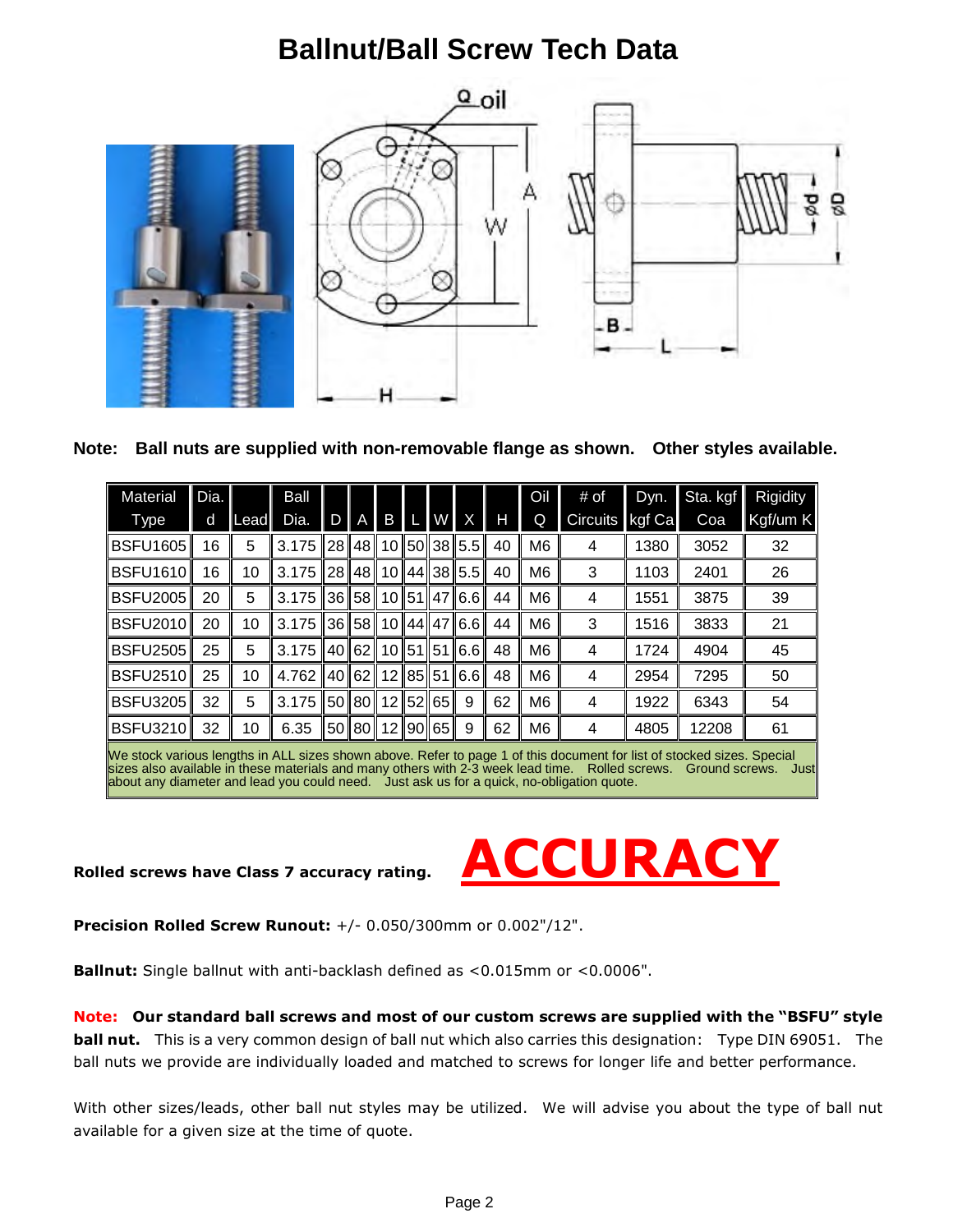## **Ballnut/Ball Screw Tech Data**



**Note: Ball nuts are supplied with non-removable flange as shown. Other styles available.** 

| <b>Material</b>                                                                                                      | Dia. |      | Ball  |                |                |                |          |                         |    | Oil            | # of            | Dyn.   | Sta. kgf | Rigidity |
|----------------------------------------------------------------------------------------------------------------------|------|------|-------|----------------|----------------|----------------|----------|-------------------------|----|----------------|-----------------|--------|----------|----------|
| Type                                                                                                                 | d    | Lead | Dia.  | $\overline{D}$ | $\overline{A}$ | B              | W X      |                         | Н  | Q              | <b>Circuits</b> | kgf Ca | Coa      | Kgf/um K |
| <b>BSFU1605</b>                                                                                                      | 16   | 5    | 3.175 |                | 28∥48∥         |                |          | 10 50 38 5.5            | 40 | M <sub>6</sub> | 4               | 1380   | 3052     | 32       |
| <b>BSFU1610</b>                                                                                                      | 16   | 10   | 3.175 |                | 28 48          |                | 10 44 38 | 5.5 <sub>1</sub>        | 40 | M <sub>6</sub> | 3               | 1103   | 2401     | 26       |
| <b>BSFU2005</b>                                                                                                      | 20   | 5    | 3.175 |                |                |                |          | 36  58  10  51  47  6.6 | 44 | M <sub>6</sub> | 4               | 1551   | 3875     | 39       |
| BSFU2010                                                                                                             | 20   | 10   | 3.175 |                | I361581        |                |          | 10 44 47 6.6            | 44 | M <sub>6</sub> | 3               | 1516   | 3833     | 21       |
| <b>BSFU2505</b>                                                                                                      | 25   | 5    | 3.175 |                | 40 62          |                |          | $10$ 51 51 6.6          | 48 | M <sub>6</sub> | 4               | 1724   | 4904     | 45       |
| <b>BSFU2510</b>                                                                                                      | 25   | 10   | 4.762 |                | 40 62          |                |          | 12 85 51 6.6            | 48 | M <sub>6</sub> | 4               | 2954   | 7295     | 50       |
| <b>BSFU3205</b>                                                                                                      | 32   | 5    | 3.175 |                | 50    80       |                | 12 52 65 | 9                       | 62 | M <sub>6</sub> | 4               | 1922   | 6343     | 54       |
| <b>BSFU3210</b>                                                                                                      | 32   | 10   | 6.35  |                |                | 50 80 12 90 65 |          | 9                       | 62 | M <sub>6</sub> | 4               | 4805   | 12208    | 61       |
| Mostock various longths in ALL sizes shown above Pofer to nage 1 of this decument for list of stocked sizes. Special |      |      |       |                |                |                |          |                         |    |                |                 |        |          |          |

We stock various lengths in ALL sizes shown above. Refer to page 1 of this document for list of stocked sizes. Special sizes also available in these materials and many others with 2-3 week lead time. Rolled screws. Ground screws. Just about any diameter and lead you could need. Just ask us for a quick, no-obligation quote.



**Precision Rolled Screw Runout:** +/- 0.050/300mm or 0.002"/12".

**Ballnut:** Single ballnut with anti-backlash defined as <0.015mm or <0.0006".

**Note: Our standard ball screws and most of our custom screws are supplied with the "BSFU" style ball nut.** This is a very common design of ball nut which also carries this designation: Type DIN 69051. The ball nuts we provide are individually loaded and matched to screws for longer life and better performance.

With other sizes/leads, other ball nut styles may be utilized. We will advise you about the type of ball nut available for a given size at the time of quote.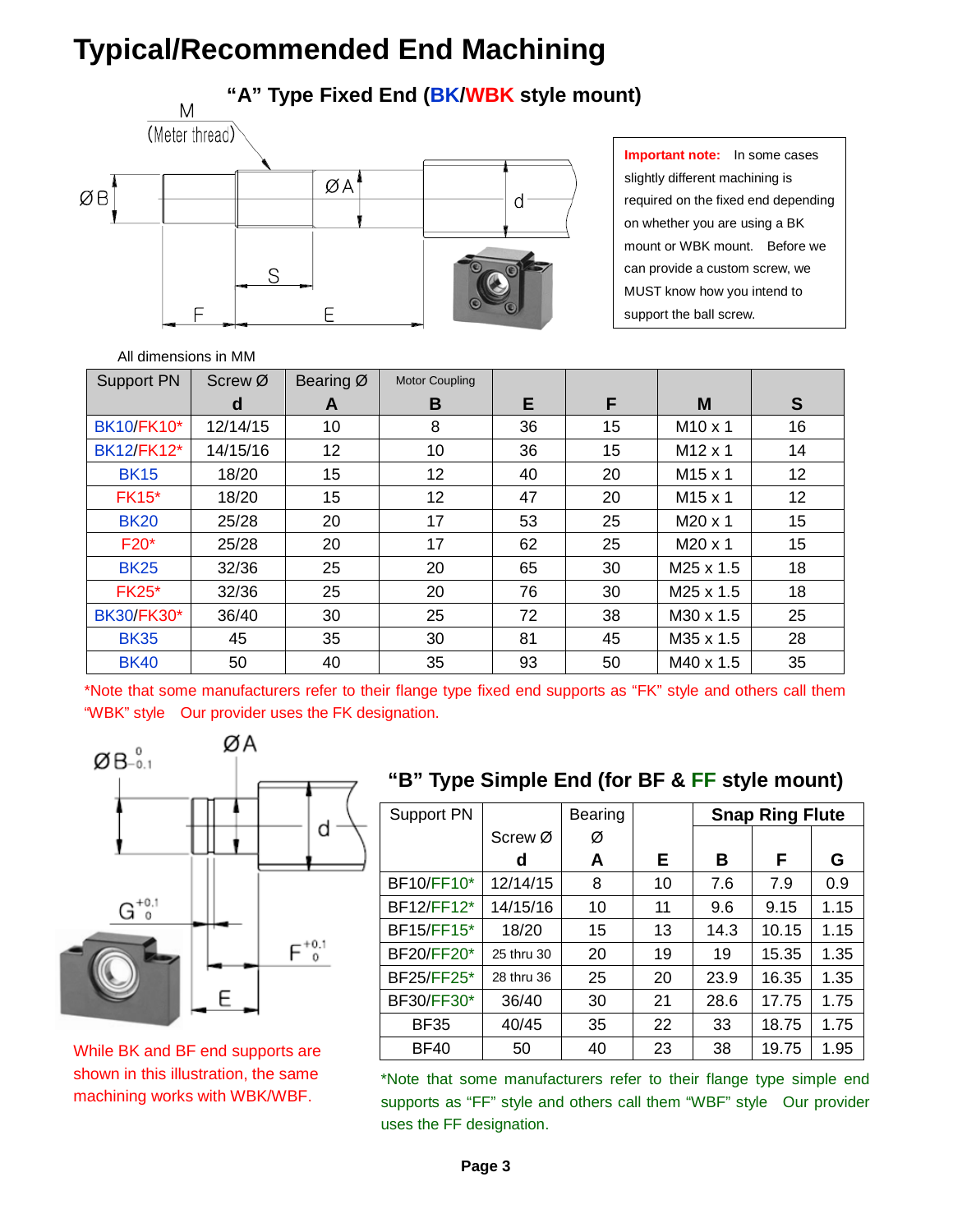## **Typical/Recommended End Machining**

### **"A" Type Fixed End (BK/WBK style mount)**



**Important note:** In some cases slightly different machining is required on the fixed end depending on whether you are using a BK mount or WBK mount. Before we can provide a custom screw, we MUST know how you intend to support the ball screw.

### All dimensions in MM

| <b>Support PN</b> | Screw Ø  | Bearing Ø | Motor Coupling |    |    |                     |    |
|-------------------|----------|-----------|----------------|----|----|---------------------|----|
|                   | d        | A         | B              | Е  | F  | M                   | S  |
| <b>BK10/FK10*</b> | 12/14/15 | 10        | 8              | 36 | 15 | M <sub>10</sub> x 1 | 16 |
| <b>BK12/FK12*</b> | 14/15/16 | 12        | 10             | 36 | 15 | $M12 \times 1$      | 14 |
| <b>BK15</b>       | 18/20    | 15        | 12             | 40 | 20 | M <sub>15</sub> x 1 | 12 |
| <b>FK15*</b>      | 18/20    | 15        | 12             | 47 | 20 | $M15 \times 1$      | 12 |
| <b>BK20</b>       | 25/28    | 20        | 17             | 53 | 25 | M20 x 1             | 15 |
| $F20*$            | 25/28    | 20        | 17             | 62 | 25 | M20 x 1             | 15 |
| <b>BK25</b>       | 32/36    | 25        | 20             | 65 | 30 | M25 x 1.5           | 18 |
| <b>FK25*</b>      | 32/36    | 25        | 20             | 76 | 30 | $M25 \times 1.5$    | 18 |
| <b>BK30/FK30*</b> | 36/40    | 30        | 25             | 72 | 38 | M30 x 1.5           | 25 |
| <b>BK35</b>       | 45       | 35        | 30             | 81 | 45 | M35 x 1.5           | 28 |
| <b>BK40</b>       | 50       | 40        | 35             | 93 | 50 | M40 x 1.5           | 35 |

\*Note that some manufacturers refer to their flange type fixed end supports as "FK" style and others call them "WBK" style Our provider uses the FK designation.



While BK and BF end supports are shown in this illustration, the same machining works with WBK/WBF.

### **"B" Type Simple End (for BF & FF style mount)**

| Support PN        |            | Bearing |    |      | <b>Snap Ring Flute</b> |      |
|-------------------|------------|---------|----|------|------------------------|------|
|                   | Screw Ø    | Ø       |    |      |                        |      |
|                   | d          | A       | E. | B    | F                      | G    |
| <b>BF10/FF10*</b> | 12/14/15   | 8       | 10 | 7.6  | 7.9                    | 0.9  |
| <b>BF12/FF12*</b> | 14/15/16   | 10      | 11 | 9.6  | 9.15                   | 1.15 |
| <b>BF15/FF15*</b> | 18/20      | 15      | 13 | 14.3 | 10.15                  | 1.15 |
| <b>BF20/FF20*</b> | 25 thru 30 | 20      | 19 | 19   | 15.35                  | 1.35 |
| <b>BF25/FF25*</b> | 28 thru 36 | 25      | 20 | 23.9 | 16.35                  | 1.35 |
| <b>BF30/FF30*</b> | 36/40      | 30      | 21 | 28.6 | 17.75                  | 1.75 |
| <b>BF35</b>       | 40/45      | 35      | 22 | 33   | 18.75                  | 1.75 |
| <b>BF40</b>       | 50         | 40      | 23 | 38   | 19.75                  | 1.95 |

\*Note that some manufacturers refer to their flange type simple end supports as "FF" style and others call them "WBF" style Our provider uses the FF designation.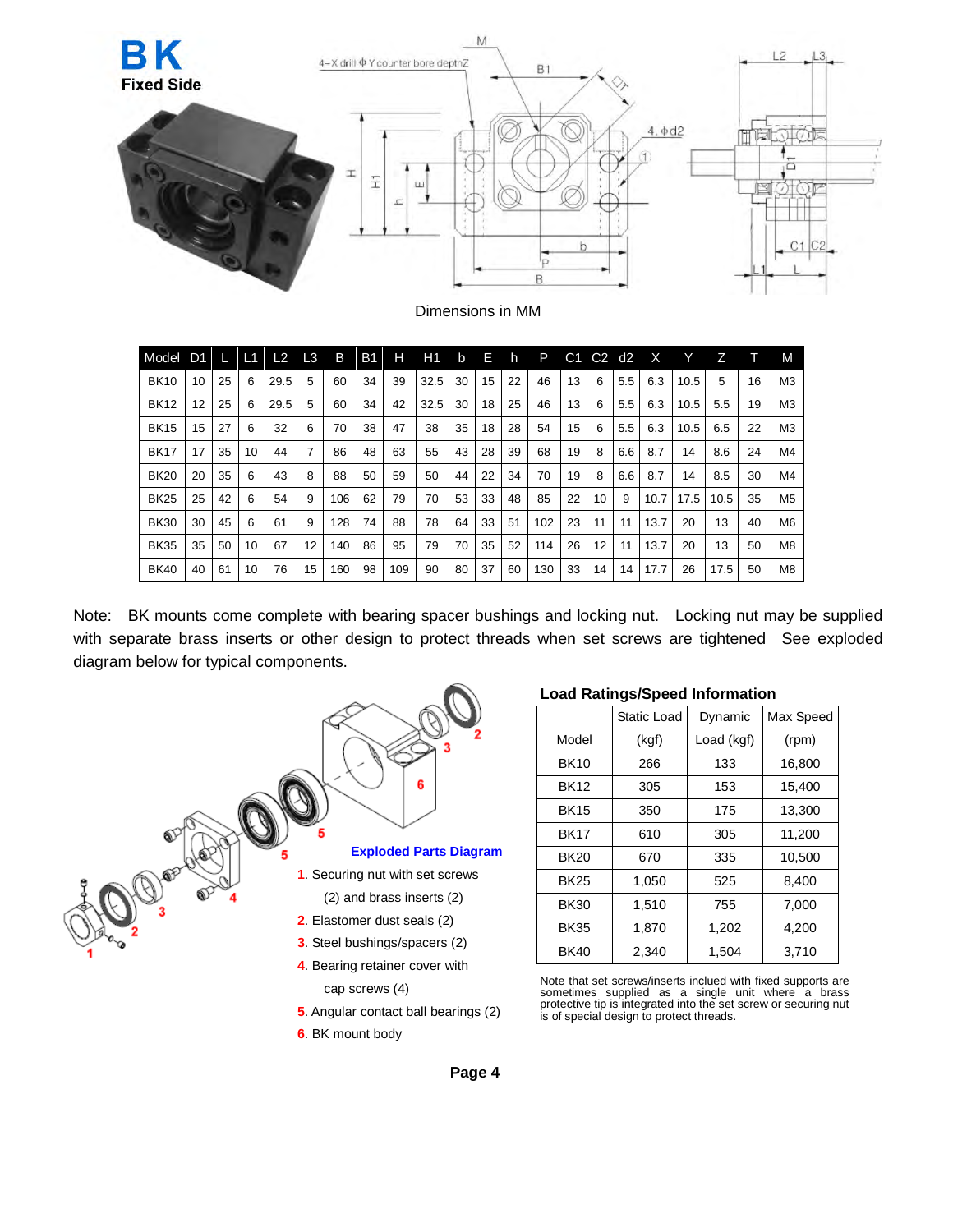

Dimensions in MM

| Model       | D1 |    | L1 | L2   | L <sub>3</sub>    | B   | <b>B1</b> | н   | H1   | b  | Е  | h  | P   | С1 | C2 | d2  | х    |      |      |    | M              |
|-------------|----|----|----|------|-------------------|-----|-----------|-----|------|----|----|----|-----|----|----|-----|------|------|------|----|----------------|
| <b>BK10</b> | 10 | 25 | 6  | 29.5 | 5                 | 60  | 34        | 39  | 32.5 | 30 | 15 | 22 | 46  | 13 | 6  | 5.5 | 6.3  | 10.5 | 5    | 16 | M <sub>3</sub> |
| <b>BK12</b> | 12 | 25 | 6  | 29.5 | 5                 | 60  | 34        | 42  | 32.5 | 30 | 18 | 25 | 46  | 13 | 6  | 5.5 | 6.3  | 10.5 | 5.5  | 19 | M <sub>3</sub> |
| <b>BK15</b> | 15 | 27 | 6  | 32   | 6                 | 70  | 38        | 47  | 38   | 35 | 18 | 28 | 54  | 15 | 6  | 5.5 | 6.3  | 10.5 | 6.5  | 22 | M <sub>3</sub> |
| <b>BK17</b> | 17 | 35 | 10 | 44   |                   | 86  | 48        | 63  | 55   | 43 | 28 | 39 | 68  | 19 | 8  | 6.6 | 8.7  | 14   | 8.6  | 24 | M4             |
| <b>BK20</b> | 20 | 35 | 6  | 43   | 8                 | 88  | 50        | 59  | 50   | 44 | 22 | 34 | 70  | 19 | 8  | 6.6 | 8.7  | 14   | 8.5  | 30 | M4             |
| <b>BK25</b> | 25 | 42 | 6  | 54   | 9                 | 106 | 62        | 79  | 70   | 53 | 33 | 48 | 85  | 22 | 10 | 9   | 10.7 | 17.5 | 10.5 | 35 | M <sub>5</sub> |
| <b>BK30</b> | 30 | 45 | 6  | 61   | 9                 | 128 | 74        | 88  | 78   | 64 | 33 | 51 | 102 | 23 | 11 | 11  | 13.7 | 20   | 13   | 40 | M <sub>6</sub> |
| <b>BK35</b> | 35 | 50 | 10 | 67   | $12 \overline{ }$ | 140 | 86        | 95  | 79   | 70 | 35 | 52 | 114 | 26 | 12 | 11  | 13.7 | 20   | 13   | 50 | M <sub>8</sub> |
| <b>BK40</b> | 40 | 61 | 10 | 76   | 15                | 160 | 98        | 109 | 90   | 80 | 37 | 60 | 130 | 33 | 14 | 14  | 17.7 | 26   | 17.5 | 50 | M <sub>8</sub> |

Note: BK mounts come complete with bearing spacer bushings and locking nut. Locking nut may be supplied with separate brass inserts or other design to protect threads when set screws are tightened See exploded diagram below for typical components.



### **Load Ratings/Speed Information**

|             | Static Load | Dynamic    | Max Speed |
|-------------|-------------|------------|-----------|
| Model       | (kgf)       | Load (kgf) | (rpm)     |
| <b>BK10</b> | 266         | 133        | 16,800    |
| <b>BK12</b> | 305         | 153        | 15,400    |
| <b>BK15</b> | 350         | 175        | 13,300    |
| <b>BK17</b> | 610         | 305        | 11,200    |
| <b>BK20</b> | 670         | 335        | 10,500    |
| <b>BK25</b> | 1,050       | 525        | 8,400     |
| <b>BK30</b> | 1,510       | 755        | 7,000     |
| <b>BK35</b> | 1,870       | 1,202      | 4,200     |
| <b>BK40</b> | 2.340       | 1.504      | 3.710     |

Note that set screws/inserts inclued with fixed supports are sometimes supplied as a single unit where a brass protective tip is integrated into the set screw or securing nut is of special design to protect threads.

**Page 4**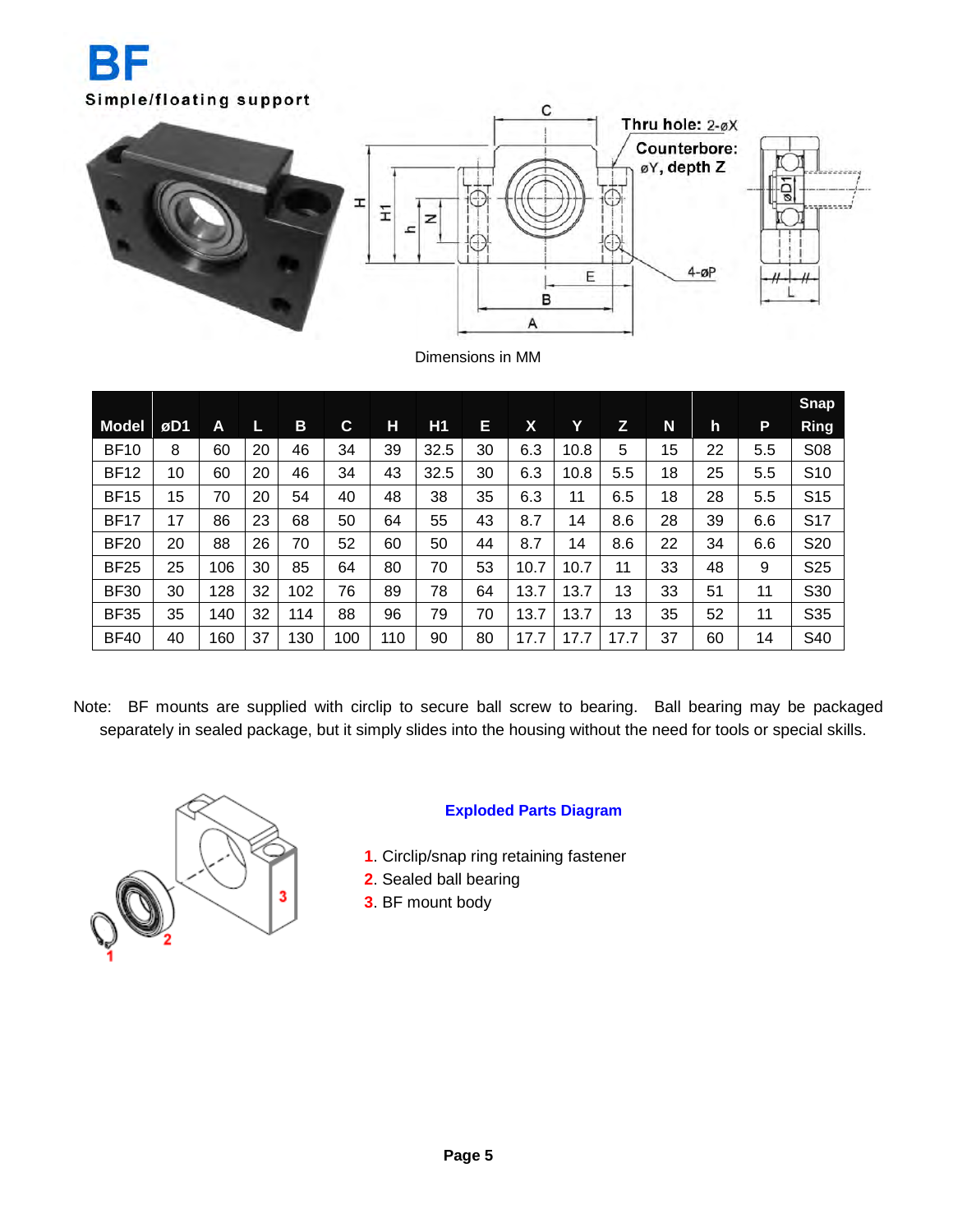



Dimensions in MM

|              |     |     |    |     |     |     |                |    |      |      |      |    |    |         | <b>Snap</b>     |
|--------------|-----|-----|----|-----|-----|-----|----------------|----|------|------|------|----|----|---------|-----------------|
| <b>Model</b> | øD1 | Α   |    | B   | C   | Н   | H <sub>1</sub> | E  | Χ    | Y    | z    | N  | h  | P       | Ring            |
| <b>BF10</b>  | 8   | 60  | 20 | 46  | 34  | 39  | 32.5           | 30 | 6.3  | 10.8 | 5    | 15 | 22 | $5.5\,$ | S08             |
| <b>BF12</b>  | 10  | 60  | 20 | 46  | 34  | 43  | 32.5           | 30 | 6.3  | 10.8 | 5.5  | 18 | 25 | $5.5\,$ | S <sub>10</sub> |
| <b>BF15</b>  | 15  | 70  | 20 | 54  | 40  | 48  | 38             | 35 | 6.3  | 11   | 6.5  | 18 | 28 | $5.5\,$ | S <sub>15</sub> |
| <b>BF17</b>  | 17  | 86  | 23 | 68  | 50  | 64  | 55             | 43 | 8.7  | 14   | 8.6  | 28 | 39 | 6.6     | S <sub>17</sub> |
| <b>BF20</b>  | 20  | 88  | 26 | 70  | 52  | 60  | 50             | 44 | 8.7  | 14   | 8.6  | 22 | 34 | 6.6     | S20             |
| <b>BF25</b>  | 25  | 106 | 30 | 85  | 64  | 80  | 70             | 53 | 10.7 | 10.7 | 11   | 33 | 48 | 9       | S <sub>25</sub> |
| <b>BF30</b>  | 30  | 128 | 32 | 102 | 76  | 89  | 78             | 64 | 13.7 | 13.7 | 13   | 33 | 51 | 11      | S30             |
| <b>BF35</b>  | 35  | 140 | 32 | 114 | 88  | 96  | 79             | 70 | 13.7 | 13.7 | 13   | 35 | 52 | 11      | S35             |
| <b>BF40</b>  | 40  | 160 | 37 | 130 | 100 | 110 | 90             | 80 | 17.7 | 17.7 | 17.7 | 37 | 60 | 14      | S40             |

Note: BF mounts are supplied with circlip to secure ball screw to bearing. Ball bearing may be packaged separately in sealed package, but it simply slides into the housing without the need for tools or special skills.



### **Exploded Parts Diagram**

- **1**. Circlip/snap ring retaining fastener
- **2**. Sealed ball bearing
- **3**. BF mount body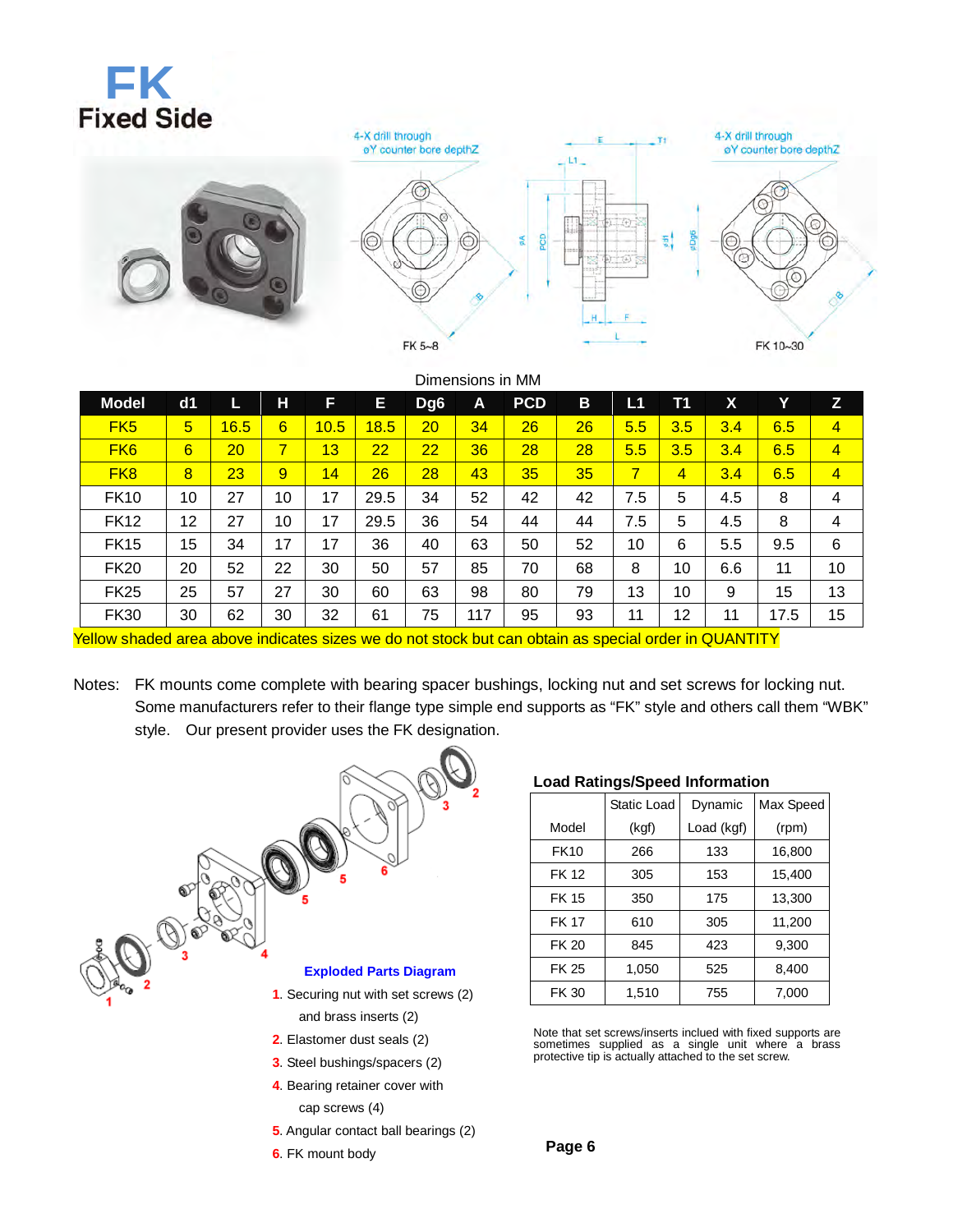# **FK**<br>Fixed Side



|                                                                                                             |                 |      |    |      |      |                 | Dimensions in MM |            |    |                |                |     |      |                |
|-------------------------------------------------------------------------------------------------------------|-----------------|------|----|------|------|-----------------|------------------|------------|----|----------------|----------------|-----|------|----------------|
| <b>Model</b>                                                                                                | dd1             | L    | н  | F    | E.   | Dg <sub>6</sub> | A                | <b>PCD</b> | B  | L1             | <b>T1</b>      | X   | Y    | Z              |
| FK <sub>5</sub>                                                                                             | $5\overline{)}$ | 16.5 | 6  | 10.5 | 18.5 | 20              | 34               | 26         | 26 | 5.5            | 3.5            | 3.4 | 6.5  | $\overline{4}$ |
| FK <sub>6</sub>                                                                                             | 6               | 20   | 7  | 13   | 22   | 22              | 36               | 28         | 28 | 5.5            | 3.5            | 3.4 | 6.5  | 4              |
| FK <sub>8</sub>                                                                                             | 8               | 23   | 9  | 14   | 26   | 28              | 43               | 35         | 35 | $\overline{7}$ | $\overline{4}$ | 3.4 | 6.5  | 4              |
| <b>FK10</b>                                                                                                 | 10              | 27   | 10 | 17   | 29.5 | 34              | 52               | 42         | 42 | 7.5            | 5              | 4.5 | 8    | 4              |
| <b>FK12</b>                                                                                                 | 12              | 27   | 10 | 17   | 29.5 | 36              | 54               | 44         | 44 | 7.5            | 5              | 4.5 | 8    | 4              |
| <b>FK15</b>                                                                                                 | 15              | 34   | 17 | 17   | 36   | 40              | 63               | 50         | 52 | 10             | 6              | 5.5 | 9.5  | 6              |
| <b>FK20</b>                                                                                                 | 20              | 52   | 22 | 30   | 50   | 57              | 85               | 70         | 68 | 8              | 10             | 6.6 | 11   | 10             |
| <b>FK25</b>                                                                                                 | 25              | 57   | 27 | 30   | 60   | 63              | 98               | 80         | 79 | 13             | 10             | 9   | 15   | 13             |
| <b>FK30</b>                                                                                                 | 30              | 62   | 30 | 32   | 61   | 75              | 117              | 95         | 93 | 11             | 12             | 11  | 17.5 | 15             |
| <u>Yellow shaded area above indicates sizes we do not stock but can obtain as special order in QUANTITY</u> |                 |      |    |      |      |                 |                  |            |    |                |                |     |      |                |

Notes: FK mounts come complete with bearing spacer bushings, locking nut and set screws for locking nut. Some manufacturers refer to their flange type simple end supports as "FK" style and others call them "WBK" style. Our present provider uses the FK designation.



- **5**. Angular contact ball bearings (2)
- **6**. FK mount body

### **Load Ratings/Speed Information**

|              | Static Load | Dynamic    | Max Speed |
|--------------|-------------|------------|-----------|
| Model        | (kgf)       | Load (kgf) | (rpm)     |
| <b>FK10</b>  | 266         | 133        | 16,800    |
| <b>FK 12</b> | 305         | 153        | 15,400    |
| <b>FK 15</b> | 350         | 175        | 13,300    |
| <b>FK 17</b> | 610         | 305        | 11,200    |
| <b>FK 20</b> | 845         | 423        | 9,300     |
| FK 25        | 1,050       | 525        | 8,400     |
| <b>FK 30</b> | 1,510       | 755        | 7,000     |

Note that set screws/inserts inclued with fixed supports are sometimes supplied as a single unit where a brass protective tip is actually attached to the set screw.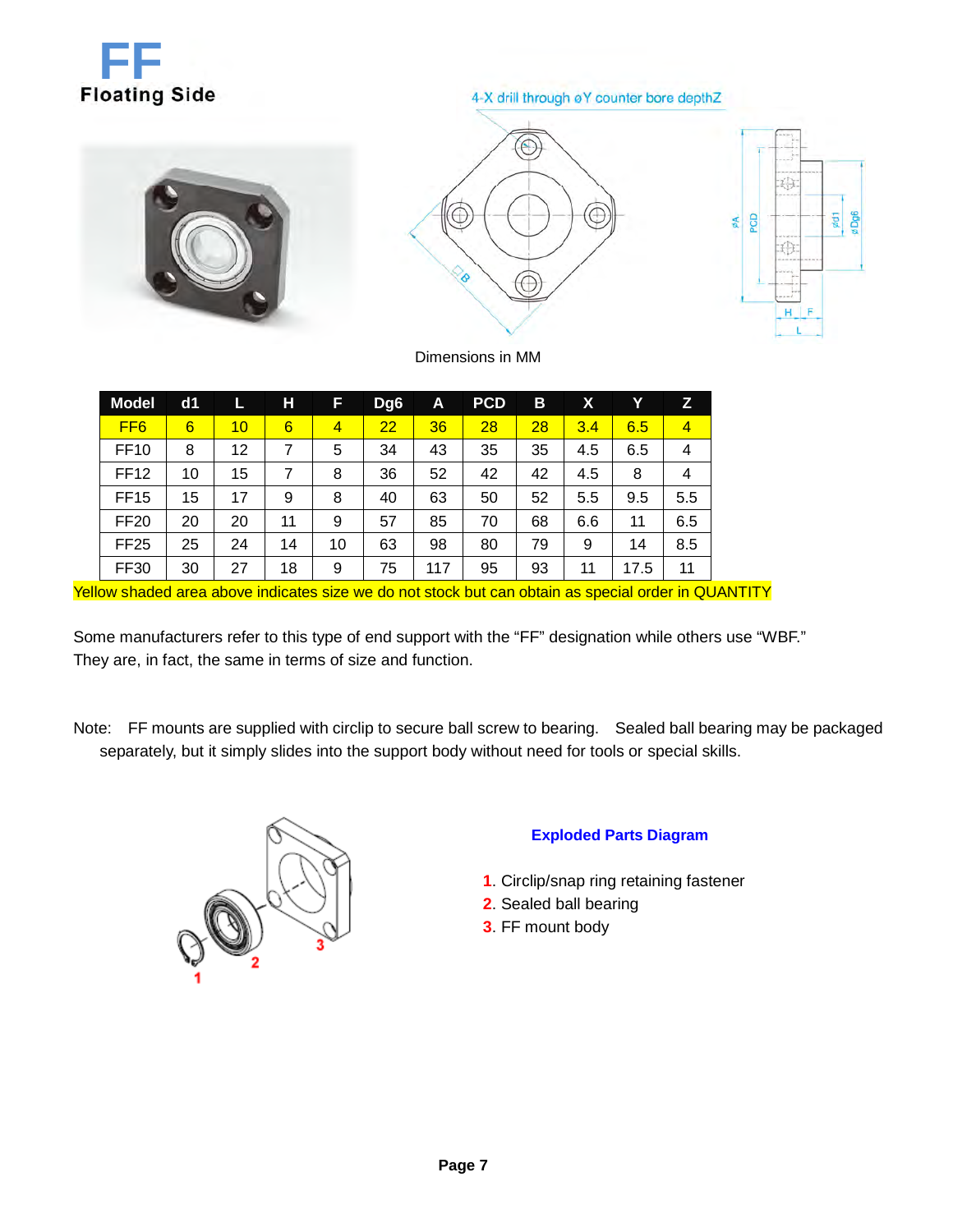

### 4-X drill through øY counter bore depthZ



Dimensions in MM

| <b>Model</b>    | d1 |    | н  | F              | Dg <sub>6</sub> | A   | <b>PCD</b> | B  | Х   | Υ    | z              |
|-----------------|----|----|----|----------------|-----------------|-----|------------|----|-----|------|----------------|
| FF <sub>6</sub> | 6  | 10 | 6  | $\overline{4}$ | 22              | 36  | 28         | 28 | 3.4 | 6.5  | $\overline{4}$ |
| <b>FF10</b>     | 8  | 12 | 7  | 5              | 34              | 43  | 35         | 35 | 4.5 | 6.5  | 4              |
| <b>FF12</b>     | 10 | 15 | 7  | 8              | 36              | 52  | 42         | 42 | 4.5 | 8    | 4              |
| <b>FF15</b>     | 15 | 17 | 9  | 8              | 40              | 63  | 50         | 52 | 5.5 | 9.5  | 5.5            |
| <b>FF20</b>     | 20 | 20 | 11 | 9              | 57              | 85  | 70         | 68 | 6.6 | 11   | 6.5            |
| <b>FF25</b>     | 25 | 24 | 14 | 10             | 63              | 98  | 80         | 79 | 9   | 14   | 8.5            |
| <b>FF30</b>     | 30 | 27 | 18 | 9              | 75              | 117 | 95         | 93 | 11  | 17.5 | 11             |

Yellow shaded area above indicates size we do not stock but can obtain as special order in QUANTITY

Some manufacturers refer to this type of end support with the "FF" designation while others use "WBF." They are, in fact, the same in terms of size and function.

Note: FF mounts are supplied with circlip to secure ball screw to bearing. Sealed ball bearing may be packaged separately, but it simply slides into the support body without need for tools or special skills.



### **Exploded Parts Diagram**

- **1**. Circlip/snap ring retaining fastener
- **2**. Sealed ball bearing
- **3**. FF mount body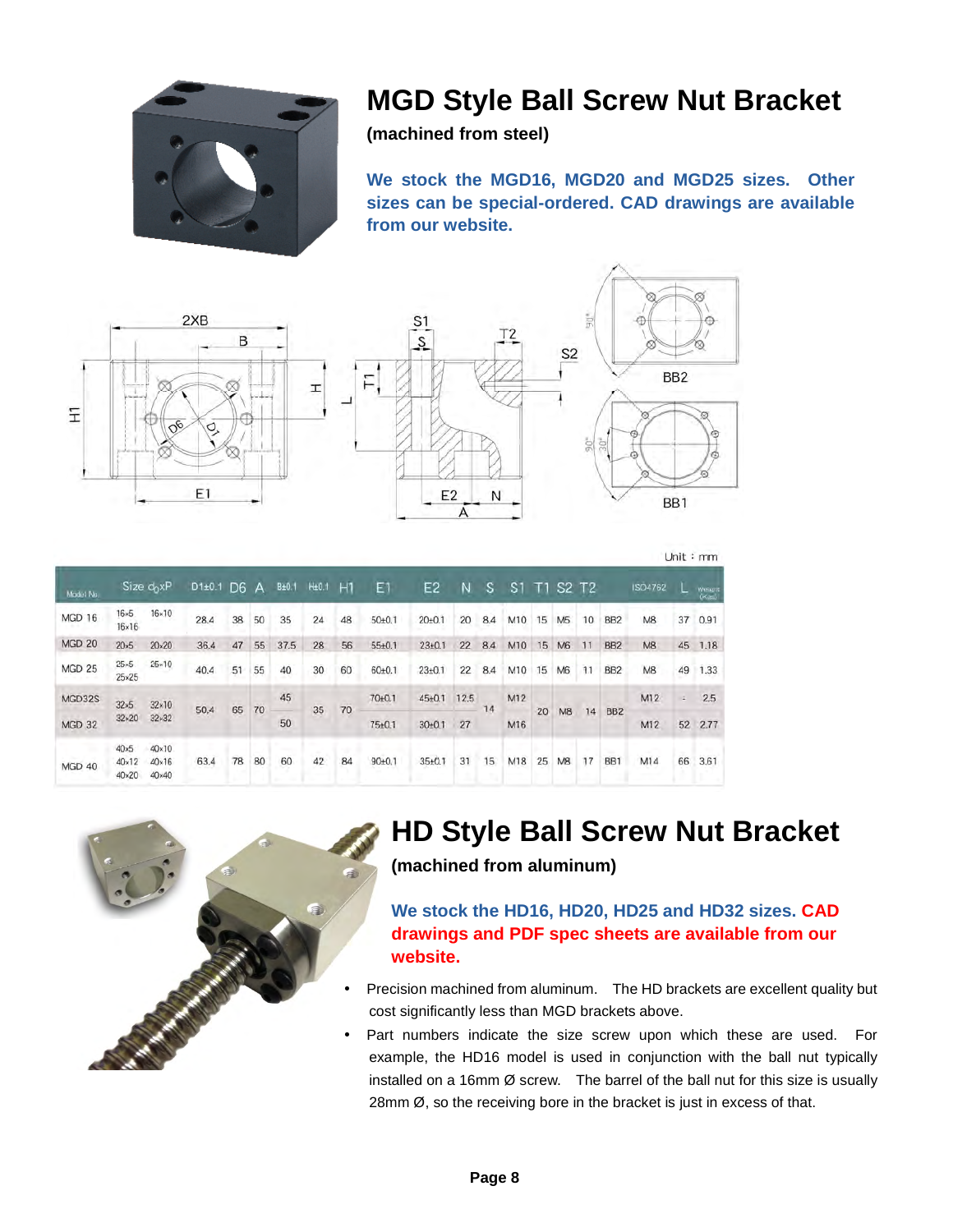

## **MGD Style Ball Screw Nut Bracket**

**(machined from steel)** 

**We stock the MGD16, MGD20 and MGD25 sizes. Other sizes can be special-ordered. CAD drawings are available from our website.** 





|           |                                               |                                                  |                                      |    |    |       |                   |    |                     |                     |      |     |     |    |                |                               |                      |                |    | C                |
|-----------|-----------------------------------------------|--------------------------------------------------|--------------------------------------|----|----|-------|-------------------|----|---------------------|---------------------|------|-----|-----|----|----------------|-------------------------------|----------------------|----------------|----|------------------|
| Model No. |                                               | Size $d_0xP$                                     | D <sub>1</sub> +0.1 D <sub>6</sub> A |    |    | B±0.1 | H <sub>±0.1</sub> | H1 | E1                  | E2                  | N    | S   | S.  | T1 |                | S <sub>2</sub> T <sub>2</sub> |                      | <b>ISO4762</b> |    | Weight<br>(Kits) |
| MGD 16    | $16\times 5$<br>$16\times16$                  | $16 \times 10$                                   | 28.4                                 | 38 | 50 | 35    | 24                | 48 | $50+0.1$            | 20 <sub>±</sub> 0.1 | 20   | 8.4 | M10 | 15 | M <sub>5</sub> | 10                            | BB <sub>2</sub>      | M8             | 37 | 0.91             |
| MGD 20    | $20\times 5$                                  | $20\times20$                                     | 36.4                                 | 47 | 55 | 37.5  | 28                | 56 | $55 + 0.1$          | $23 \pm 0.1$        | 22   | 8.4 | M10 | 15 | M6             | 11                            | BB <sub>2</sub>      | M <sub>8</sub> | 45 | 1.18             |
| MGD 25    | $25*5$<br>$25 \times 25$                      | $25*10$                                          | 40.4                                 | 51 | 55 | 40    | 30                | 60 | $60+0.1$            | $23 + 0.1$          | 22   | 8.4 | M10 | 15 | M <sub>6</sub> | 11                            | BB <sub>2</sub>      | M <sub>8</sub> | 49 | 1.33             |
| MGD32S    | $32\times5$                                   | $32\times10$                                     | 50,4                                 |    |    | 45    |                   |    | 70 <sub>±</sub> 0.1 | $45 + 0.1$          | 12.5 | 14  | M12 |    |                |                               |                      | M12            | ÷  | 2.5              |
| MGD 32    | $32 \times 20$                                | $32 \times 32$                                   |                                      | 65 | 70 | 50    | 35                | 70 | $75 + 0.1$          | $30+0.1$            | 27   |     | M16 | 20 | M <sub>8</sub> | 14                            | BB <sub>2</sub>      | M12            | 52 | 2.77             |
| MGD 40    | $40\times5$<br>$40 \times 12$<br>$40\times20$ | $40 \times 10$<br>$40\times16$<br>$40 \times 40$ | 63,4                                 | 78 | 80 | 60    | 42                | 84 | $90+0.1$            | $35 + 0.1$          | 31   | 15  | M18 | 25 | M <sub>8</sub> | 17                            | ٠<br>BB <sub>1</sub> | M14            | 66 | 3,61             |



## **HD Style Ball Screw Nut Bracket**

 $1 \text{ km} + \text{m}$ 

**(machined from aluminum)** 

**We stock the HD16, HD20, HD25 and HD32 sizes. CAD drawings and PDF spec sheets are available from our website.**

- Precision machined from aluminum. The HD brackets are excellent quality but cost significantly less than MGD brackets above.
- Part numbers indicate the size screw upon which these are used. For example, the HD16 model is used in conjunction with the ball nut typically installed on a 16mm Ø screw. The barrel of the ball nut for this size is usually 28mm Ø, so the receiving bore in the bracket is just in excess of that.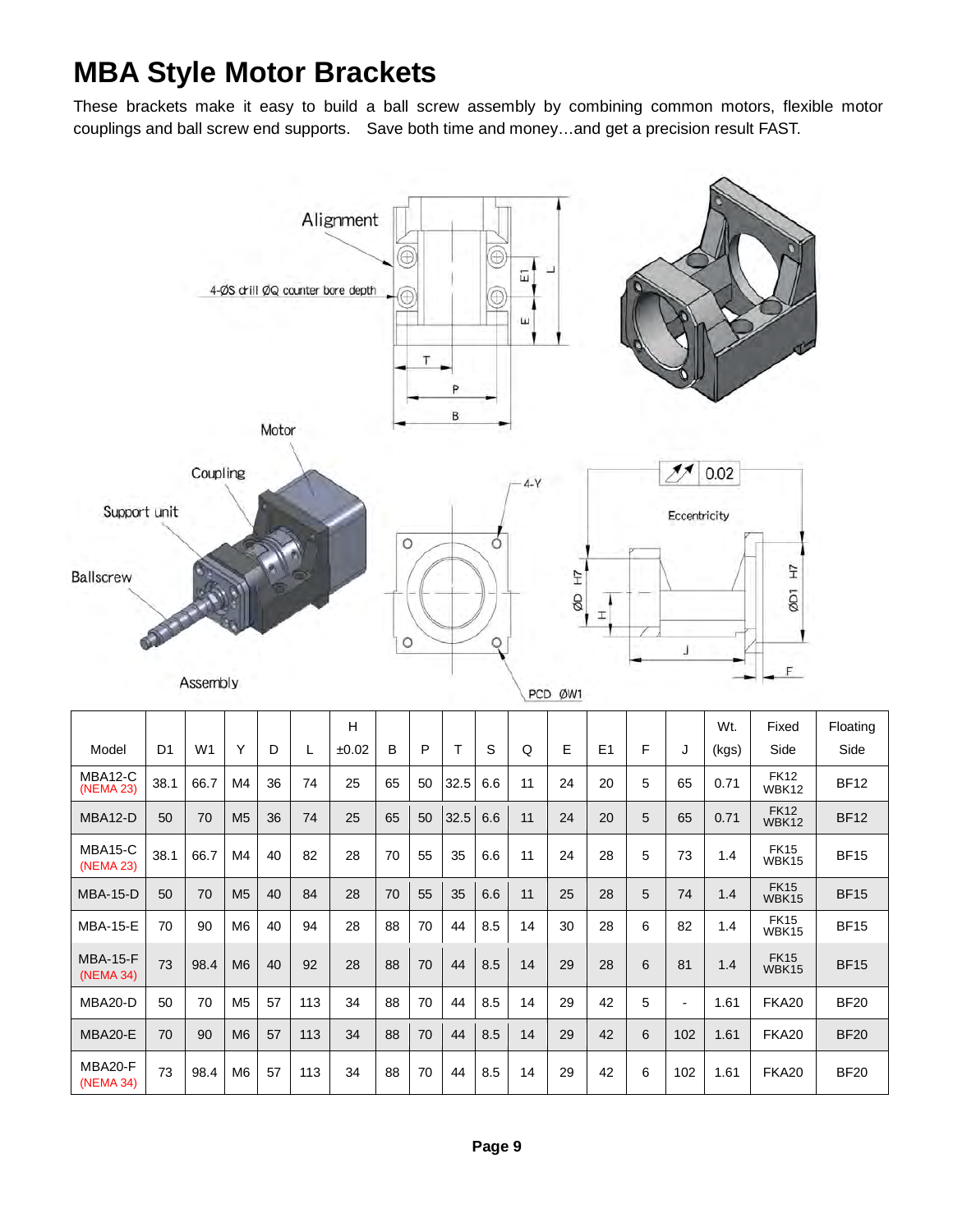## **MBA Style Motor Brackets**

These brackets make it easy to build a ball screw assembly by combining common motors, flexible motor couplings and ball screw end supports. Save both time and money…and get a precision result FAST.



| MBA12-C<br>(NEMA 23)         | 38.1 | 66.7 | M4             | 36 | 74  | 25 | 65 | 50 | 32.5 | 6.6 | 11 | 24 | 20 | 5 | 65                       | 0.71 | FK <sub>12</sub><br>WBK12 | <b>BF12</b> |
|------------------------------|------|------|----------------|----|-----|----|----|----|------|-----|----|----|----|---|--------------------------|------|---------------------------|-------------|
| MBA12-D                      | 50   | 70   | M <sub>5</sub> | 36 | 74  | 25 | 65 | 50 | 32.5 | 6.6 | 11 | 24 | 20 | 5 | 65                       | 0.71 | <b>FK12</b><br>WBK12      | <b>BF12</b> |
| MBA15-C<br>(NEMA 23)         | 38.1 | 66.7 | M4             | 40 | 82  | 28 | 70 | 55 | 35   | 6.6 | 11 | 24 | 28 | 5 | 73                       | 1.4  | <b>FK15</b><br>WBK15      | <b>BF15</b> |
| <b>MBA-15-D</b>              | 50   | 70   | M <sub>5</sub> | 40 | 84  | 28 | 70 | 55 | 35   | 6.6 | 11 | 25 | 28 | 5 | 74                       | 1.4  | <b>FK15</b><br>WBK15      | <b>BF15</b> |
| <b>MBA-15-E</b>              | 70   | 90   | M <sub>6</sub> | 40 | 94  | 28 | 88 | 70 | 44   | 8.5 | 14 | 30 | 28 | 6 | 82                       | 1.4  | <b>FK15</b><br>WBK15      | <b>BF15</b> |
| <b>MBA-15-F</b><br>(NEMA 34) | 73   | 98.4 | M <sub>6</sub> | 40 | 92  | 28 | 88 | 70 | 44   | 8.5 | 14 | 29 | 28 | 6 | 81                       | 1.4  | <b>FK15</b><br>WBK15      | <b>BF15</b> |
| MBA20-D                      | 50   | 70   | M <sub>5</sub> | 57 | 113 | 34 | 88 | 70 | 44   | 8.5 | 14 | 29 | 42 | 5 | $\overline{\phantom{a}}$ | 1.61 | <b>FKA20</b>              | <b>BF20</b> |
| MBA20-E                      | 70   | 90   | M <sub>6</sub> | 57 | 113 | 34 | 88 | 70 | 44   | 8.5 | 14 | 29 | 42 | 6 | 102                      | 1.61 | <b>FKA20</b>              | <b>BF20</b> |
| MBA20-F<br>(NEMA 34)         | 73   | 98.4 | M <sub>6</sub> | 57 | 113 | 34 | 88 | 70 | 44   | 8.5 | 14 | 29 | 42 | 6 | 102                      | 1.61 | <b>FKA20</b>              | <b>BF20</b> |

Side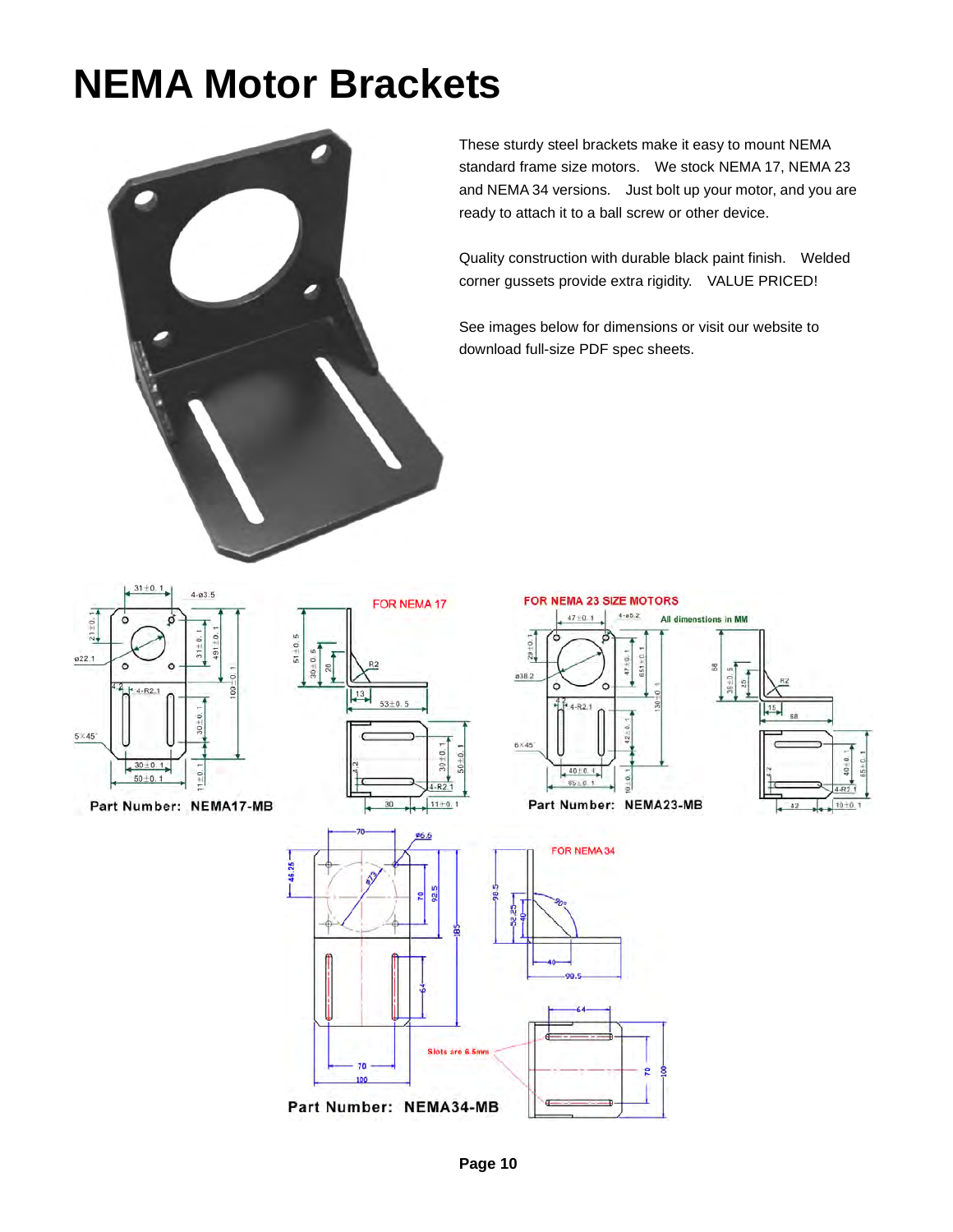## **NEMA Motor Brackets**



These sturdy steel brackets make it easy to mount NEMA standard frame size motors. We stock NEMA 17, NEMA 23 and NEMA 34 versions. Just bolt up your motor, and you are ready to attach it to a ball screw or other device.

Quality construction with durable black paint finish. Welded corner gussets provide extra rigidity. VALUE PRICED!

See images below for dimensions or visit our website to download full-size PDF spec sheets.



### Part Number: NEMA17-MB





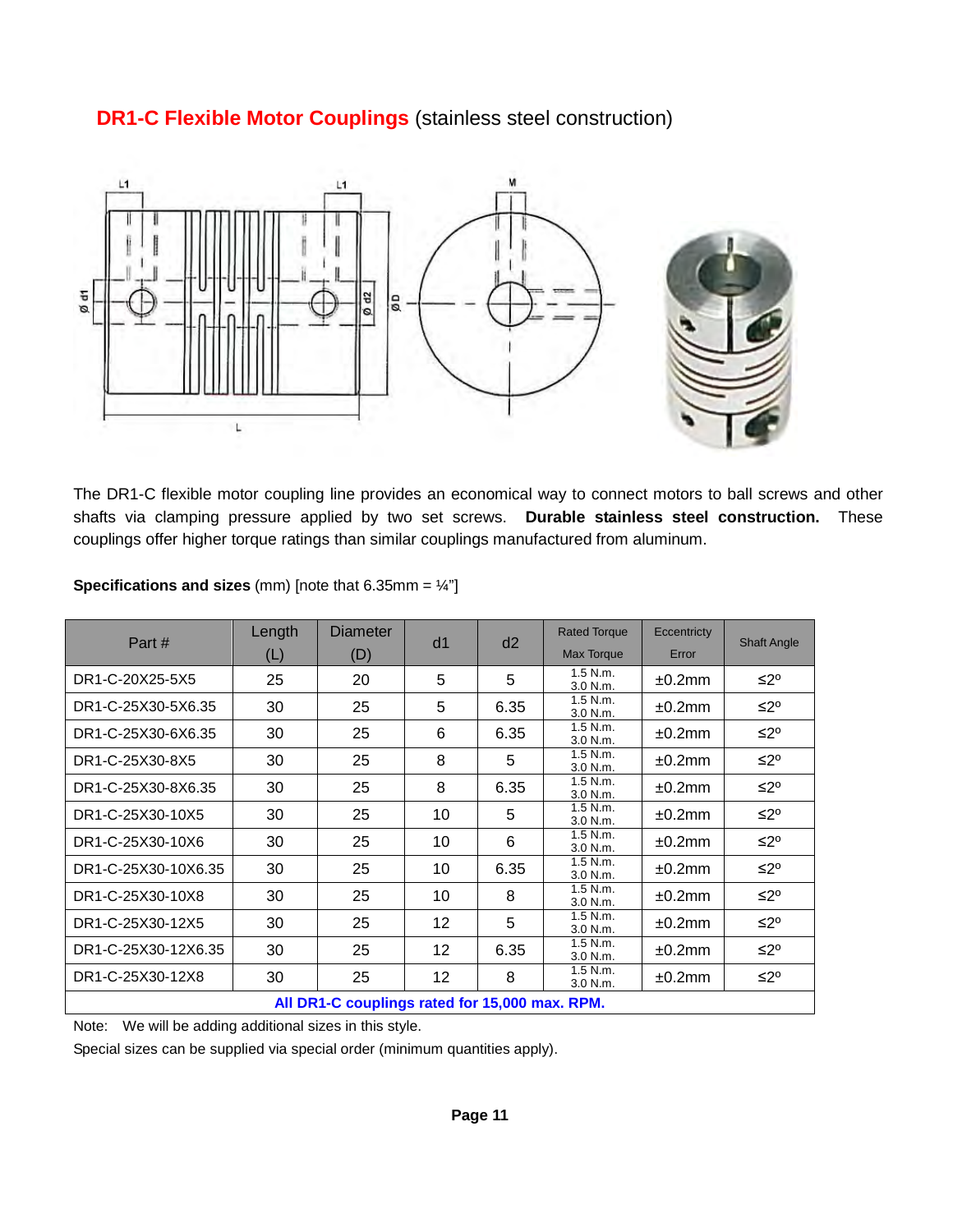### **DR1-C Flexible Motor Couplings** (stainless steel construction)



The DR1-C flexible motor coupling line provides an economical way to connect motors to ball screws and other shafts via clamping pressure applied by two set screws. **Durable stainless steel construction.** These couplings offer higher torque ratings than similar couplings manufactured from aluminum.

| Part#                                        | Length | Diameter | d <sub>1</sub> | d2   | <b>Rated Torque</b>      | Eccentricty |                    |  |  |  |
|----------------------------------------------|--------|----------|----------------|------|--------------------------|-------------|--------------------|--|--|--|
|                                              | (L)    | (D)      |                |      | Max Torque               | Error       | <b>Shaft Angle</b> |  |  |  |
| DR1-C-20X25-5X5                              | 25     | 20       | 5              | 5    | $1.5$ N.m.<br>$3.0$ N.m. | $±0.2$ mm   | ≤2°                |  |  |  |
| DR1-C-25X30-5X6.35                           | 30     | 25       | 5              | 6.35 | $1.5$ N.m.<br>3.0 N.m.   | $±0.2$ mm   | ≤2°                |  |  |  |
| DR1-C-25X30-6X6.35                           | 30     | 25       | 6              | 6.35 | $1.5$ N.m.<br>3.0 N.m.   | ±0.2mm      | ≤2°                |  |  |  |
| DR1-C-25X30-8X5                              | 30     | 25       | 8              | 5    | $1.5$ N.m.<br>3.0 N.m.   | ±0.2mm      | ≤2°                |  |  |  |
| DR1-C-25X30-8X6.35                           | 30     | 25       | 8              | 6.35 | $1.5$ N.m.<br>3.0 N.m.   | $±0.2$ mm   | ≤2°                |  |  |  |
| DR1-C-25X30-10X5                             | 30     | 25       | 10             | 5    | $1.5$ N.m.<br>3.0 N.m.   | ±0.2mm      | ≤2°                |  |  |  |
| DR1-C-25X30-10X6                             | 30     | 25       | 10             | 6    | $1.5$ N.m.<br>3.0 N.m.   | $±0.2$ mm   | ≤2°                |  |  |  |
| DR1-C-25X30-10X6.35                          | 30     | 25       | 10             | 6.35 | $1.5$ N.m.<br>3.0 N.m.   | $±0.2$ mm   | ≤2°                |  |  |  |
| DR1-C-25X30-10X8                             | 30     | 25       | 10             | 8    | $1.5$ N.m.<br>$3.0$ N.m. | $±0.2$ mm   | ≤2°                |  |  |  |
| DR1-C-25X30-12X5                             | 30     | 25       | 12             | 5    | $1.5$ N.m.<br>3.0 N.m.   | $±0.2$ mm   | ≤2°                |  |  |  |
| DR1-C-25X30-12X6.35                          | 30     | 25       | 12             | 6.35 | $1.5$ N.m.<br>3.0 N.m.   | $±0.2$ mm   | ≤2°                |  |  |  |
| DR1-C-25X30-12X8                             | 30     | 25       | 12             | 8    | $1.5$ N.m.<br>3.0 N.m.   | ±0.2mm      | ≤2°                |  |  |  |
| All DD1-C couplings rated for 15,000 may DDM |        |          |                |      |                          |             |                    |  |  |  |

**Specifications and sizes** (mm) [note that 6.35mm = ¼"]

**All DR1-C couplings rated for 15,000 max. RPM.**

Note: We will be adding additional sizes in this style.

Special sizes can be supplied via special order (minimum quantities apply).